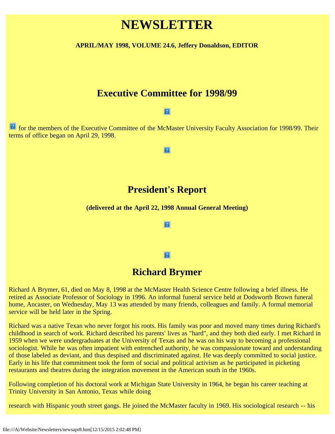# **NEWSLETTER**

**APRIL/MAY 1998, VOLUME 24.6, Jeffery Donaldson, EDITOR**

### **Executive Committee for 1998/99**

#### $\vert$  ?

**1** for the members of the Executive Committee of the McMaster University Faculty Association for 1998/99. Their terms of office began on April 29, 1998.

#### $|2|$

### **President's Report**

#### **(delivered at the April 22, 1998 Annual General Meeting)**

#### $|2|$

#### $|2|$

### **Richard Brymer**

Richard A Brymer, 61, died on May 8, 1998 at the McMaster Health Science Centre following a brief illness. He retired as Associate Professor of Sociology in 1996. An informal funeral service held at Dodsworth Brown funeral home, Ancaster, on Wednesday, May 13 was attended by many friends, colleagues and family. A formal memorial service will be held later in the Spring.

Richard was a native Texan who never forgot his roots. His family was poor and moved many times during Richard's childhood in search of work. Richard described his parents' lives as "hard", and they both died early. I met Richard in 1959 when we were undergraduates at the University of Texas and he was on his way to becoming a professional sociologist. While he was often impatient with entrenched authority, he was compassionate toward and understanding of those labeled as deviant, and thus despised and discriminated against. He was deeply committed to social justice. Early in his life that commitment took the form of social and political activism as he participated in picketing restaurants and theatres during the integration movement in the American south in the 1960s.

Following completion of his doctoral work at Michigan State University in 1964, he began his career teaching at Trinity University in San Antonio, Texas while doing

research with Hispanic youth street gangs. He joined the McMaster faculty in 1969. His sociological research -- his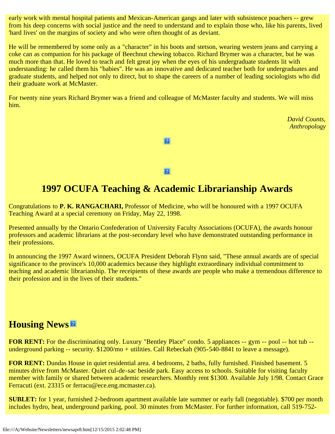early work with mental hospital patients and Mexican-American gangs and later with subsistence poachers -- grew from his deep concerns with social justice and the need to understand and to explain those who, like his parents, lived 'hard lives' on the margins of society and who were often thought of as deviant.

He will be remembered by some only as a "character" in his boots and stetson, wearing western jeans and carrying a coke can as companion for his package of Beechnut chewing tobacco. Richard Brymer was a character, but he was much more than that. He loved to teach and felt great joy when the eyes of his undergraduate students lit with understanding: he called them his "babies". He was an innovative and dedicated teacher both for undergraduates and graduate students, and helped not only to direct, but to shape the careers of a number of leading sociologists who did their graduate work at McMaster.

For twenty nine years Richard Brymer was a friend and colleague of McMaster faculty and students. We will miss him.

> *David Counts, Anthropology*

 $|2|$ 

 $|2|$ 

# **1997 OCUFA Teaching & Academic Librarianship Awards**

Congratulations to **P. K. RANGACHARI,** Professor of Medicine, who will be honoured with a 1997 OCUFA Teaching Award at a special ceremony on Friday, May 22, 1998.

Presented annually by the Ontario Confederation of University Faculty Associations (OCUFA), the awards honour professors and academic librarians at the post-secondary level who have demonstrated outstanding performance in their professions.

In announcing the 1997 Award winners, OCUFA President Deborah Flynn said, "These annual awards are of special significance to the province's 10,000 academics because they highlight extraordinary individual commitment to teaching and academic librarianship. The receipients of these awards are people who make a tremendous difference to their profession and in the lives of their students."

# **Housing News**

**FOR RENT:** For the discriminating only. Luxury "Bentley Place" condo. 5 appliances -- gym -- pool -- hot tub -underground parking -- security. \$1200/mo + utilities. Call Rebeckah (905-540-8841 to leave a message).

**FOR RENT:** Dundas House in quiet residential area. 4 bedrooms, 2 baths, fully furnished. Finished basement. 5 minutes drive from McMaster. Quiet cul-de-sac beside park. Easy access to schools. Suitable for visiting faculty member with family or shared between academic researchers. Monthly rent \$1300. Available July 1/98. Contact Grace Ferracuti (ext. 23315 or ferracu@ece.eng.mcmaster.ca).

**SUBLET:** for 1 year, furnished 2-bedroom apartment available late summer or early fall (negotiable). \$700 per month includes hydro, heat, underground parking, pool. 30 minutes from McMaster. For further information, call 519-752-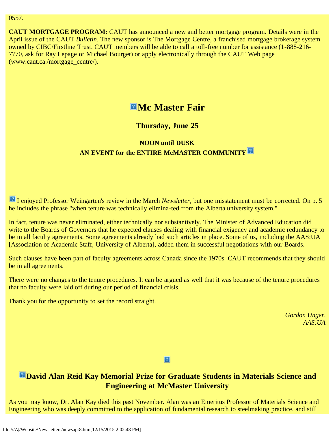#### 0557.

**CAUT MORTGAGE PROGRAM:** CAUT has announced a new and better mortgage program. Details were in the April issue of the CAUT *Bulletin*. The new sponsor is The Mortgage Centre, a franchised mortgage brokerage system owned by CIBC/Firstline Trust. CAUT members will be able to call a toll-free number for assistance (1-888-216- 7770, ask for Ray Lepage or Michael Bourget) or apply electronically through the CAUT Web page (www.caut.ca./mortgage\_centre/).

## **EMc Master Fair**

### **Thursday, June 25**

### **NOON until DUSK AN EVENT for the ENTIRE McMASTER COMMUNITY**

I enjoyed Professor Weingarten's review in the March *Newsletter*, but one misstatement must be corrected. On p. 5 he includes the phrase "when tenure was technically elimina-ted from the Alberta university system."

In fact, tenure was never eliminated, either technically nor substantively. The Minister of Advanced Education did write to the Boards of Governors that he expected clauses dealing with financial exigency and academic redundancy to be in all faculty agreements. Some agreements already had such articles in place. Some of us, including the AAS:UA [Association of Academic Staff, University of Alberta], added them in successful negotiations with our Boards.

Such clauses have been part of faculty agreements across Canada since the 1970s. CAUT recommends that they should be in all agreements.

There were no changes to the tenure procedures. It can be argued as well that it was because of the tenure procedures that no faculty were laid off during our period of financial crisis.

Thank you for the opportunity to set the record straight.

*Gordon Unger, AAS:UA*

 $|2|$ 

### **David Alan Reid Kay Memorial Prize for Graduate Students in Materials Science and Engineering at McMaster University**

As you may know, Dr. Alan Kay died this past November. Alan was an Emeritus Professor of Materials Science and Engineering who was deeply committed to the application of fundamental research to steelmaking practice, and still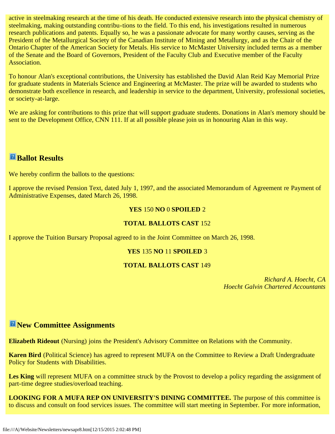active in steelmaking research at the time of his death. He conducted extensive research into the physical chemistry of steelmaking, making outstanding contribu-tions to the field. To this end, his investigations resulted in numerous research publications and patents. Equally so, he was a passionate advocate for many worthy causes, serving as the President of the Metallurgical Society of the Canadian Institute of Mining and Metallurgy, and as the Chair of the Ontario Chapter of the American Society for Metals. His service to McMaster University included terms as a member of the Senate and the Board of Governors, President of the Faculty Club and Executive member of the Faculty Association.

To honour Alan's exceptional contributions, the University has established the David Alan Reid Kay Memorial Prize for graduate students in Materials Science and Engineering at McMaster. The prize will be awarded to students who demonstrate both excellence in research, and leadership in service to the department, University, professional societies, or society-at-large.

We are asking for contributions to this prize that will support graduate students. Donations in Alan's memory should be sent to the Development Office, CNN 111. If at all possible please join us in honouring Alan in this way.

### **Ballot Results**

We hereby confirm the ballots to the questions:

I approve the revised Pension Text, dated July 1, 1997, and the associated Memorandum of Agreement re Payment of Administrative Expenses, dated March 26, 1998.

### **YES** 150 **NO** 0 **SPOILED** 2

### **TOTAL BALLOTS CAST** 152

I approve the Tuition Bursary Proposal agreed to in the Joint Committee on March 26, 1998.

### **YES** 135 **NO** 11 **SPOILED** 3

### **TOTAL BALLOTS CAST** 149

*Richard A. Hoecht, CA Hoecht Galvin Chartered Accountants*

### **New Committee Assignments**

**Elizabeth Rideout** (Nursing) joins the President's Advisory Committee on Relations with the Community.

**Karen Bird** (Political Science) has agreed to represent MUFA on the Committee to Review a Draft Undergraduate Policy for Students with Disabilities.

Les King will represent MUFA on a committee struck by the Provost to develop a policy regarding the assignment of part-time degree studies/overload teaching.

**LOOKING FOR A MUFA REP ON UNIVERSITY'S DINING COMMITTEE.** The purpose of this committee is to discuss and consult on food services issues. The committee will start meeting in September. For more information,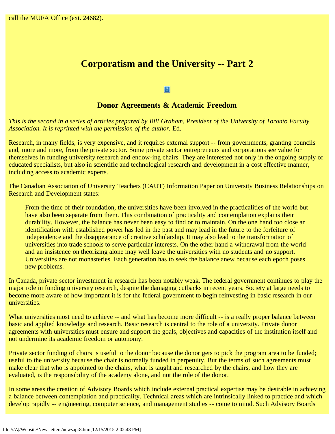# **Corporatism and the University -- Part 2**

 $\vert$  ?

### **Donor Agreements & Academic Freedom**

*This is the second in a series of articles prepared by Bill Graham, President of the University of Toronto Faculty Association. It is reprinted with the permission of the author.* Ed.

Research, in many fields, is very expensive, and it requires external support -- from governments, granting councils and, more and more, from the private sector. Some private sector entrepreneurs and corporations see value for themselves in funding university research and endow-ing chairs. They are interested not only in the ongoing supply of educated specialists, but also in scientific and technological research and development in a cost effective manner, including access to academic experts.

The Canadian Association of University Teachers (CAUT) Information Paper on University Business Relationships on Research and Development states:

From the time of their foundation, the universities have been involved in the practicalities of the world but have also been separate from them. This combination of practicality and contemplation explains their durability. However, the balance has never been easy to find or to maintain. On the one hand too close an identification with established power has led in the past and may lead in the future to the forfeiture of independence and the disappearance of creative scholarship. It may also lead to the transformation of universities into trade schools to serve particular interests. On the other hand a withdrawal from the world and an insistence on theorizing alone may well leave the universities with no students and no support. Universities are not monasteries. Each generation has to seek the balance anew because each epoch poses new problems.

In Canada, private sector investment in research has been notably weak. The federal government continues to play the major role in funding university research, despite the damaging cutbacks in recent years. Society at large needs to become more aware of how important it is for the federal government to begin reinvesting in basic research in our universities.

What universities most need to achieve -- and what has become more difficult -- is a really proper balance between basic and applied knowledge and research. Basic research is central to the role of a university. Private donor agreements with universities must ensure and support the goals, objectives and capacities of the institution itself and not undermine its academic freedom or autonomy.

Private sector funding of chairs is useful to the donor because the donor gets to pick the program area to be funded; useful to the university because the chair is normally funded in perpetuity. But the terms of such agreements must make clear that who is appointed to the chairs, what is taught and researched by the chairs, and how they are evaluated, is the responsibility of the academy alone, and not the role of the donor.

In some areas the creation of Advisory Boards which include external practical expertise may be desirable in achieving a balance between contemplation and practicality. Technical areas which are intrinsically linked to practice and which develop rapidly -- engineering, computer science, and management studies -- come to mind. Such Advisory Boards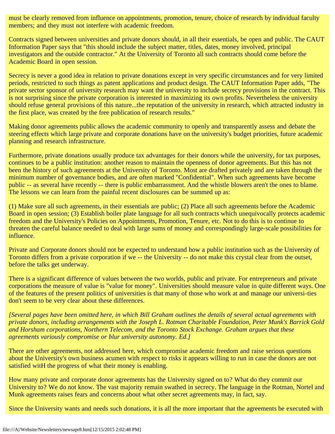must be clearly removed from influence on appointments, promotion, tenure, choice of research by individual faculty members; and they must not interfere with academic freedom.

Contracts signed between universities and private donors should, in all their essentials, be open and public. The CAUT Information Paper says that "this should include the subject matter, titles, dates, money involved, principal investigators and the outside contractor." At the University of Toronto all such contracts should come before the Academic Board in open session.

Secrecy is never a good idea in relation to private donations except in very specific circumstances and for very limited periods, restricted to such things as patent applications and product design. The CAUT Information Paper adds, "The private sector sponsor of university research may want the university to include secrecy provisions in the contract. This is not surprising since the private corporation is interested in maximizing its own profits. Nevertheless the university should refuse general provisions of this nature...the reputation of the university in research, which attracted industry in the first place, was created by the free publication of research results."

Making donor agreements public allows the academic community to openly and transparently assess and debate the steering effects which large private and corporate donations have on the university's budget priorities, future academic planning and research infrastructure.

Furthermore, private donations usually produce tax advantages for their donors while the university, for tax purposes, continues to be a public institution: another reason to maintain the openness of donor agreements. But this has not been the history of such agreements at the University of Toronto. Most are drafted privately and are taken through the minimum number of governance bodies, and are often marked "Confidential". When such agreements have become public -- as several have recently -- there is public embarrassment. And the whistle blowers aren't the ones to blame. The lessons we can learn from the painful recent disclosures can be summed up as:

(1) Make sure all such agreements, in their essentials are public; (2) Place all such agreements before the Academic Board in open session; (3) Establish boiler plate language for all such contracts which unequivocally protects academic freedom and the University's Policies on Appointments, Promotion, Tenure, etc. Not to do this is to continue to threaten the careful balance needed to deal with large sums of money and correspondingly large-scale possibilities for influence.

Private and Corporate donors should not be expected to understand how a public institution such as the University of Toronto differs from a private corporation if we -- the University -- do not make this crystal clear from the outset, before the talks get underway.

There is a significant difference of values between the two worlds, public and private. For entrepreneurs and private corporations the measure of value is "value for money". Universities should measure value in quite different ways. One of the features of the present politics of universities is that many of those who work at and manage our universi-ties don't seem to be very clear about these differences.

*[Several pages have been omitted here, in which Bill Graham outlines the details of several actual agreements with private donors, including arrangements with the Joseph L. Rotman Charitable Foundation, Peter Munk's Barrick Gold and Horsham corporations, Northern Telecom, and the Toronto Stock Exchange. Graham argues that these agreements variously compromise or blur university autonomy. Ed.]*

There are other agreements, not addressed here, which compromise academic freedom and raise serious questions about the University's own business acumen with respect to risks it appears willing to run in case the donors are not satisfied witH the progress of what their money is enabling.

How many private and corporate donor agreements has the University signed on to? What do they commit our University to? We do not know. The vast majority remain swathed in secrecy. The language in the Rotman, Nortel and Munk agreements raises fears and concerns about what other secret agreements may, in fact, say.

Since the University wants and needs such donations, it is all the more important that the agreements be executed with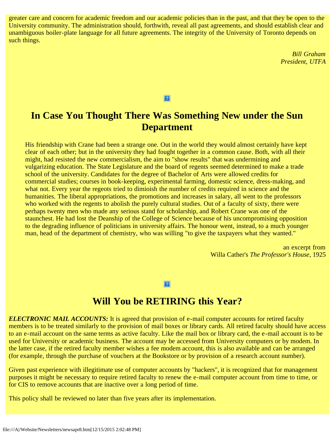greater care and concern for academic freedom and our academic policies than in the past, and that they be open to the University community. The administration should, forthwith, reveal all past agreements, and should establish clear and unambiguous boiler-plate language for all future agreements. The integrity of the University of Toronto depends on such things.

> *Bill Graham President, UTFA*

 $\boxed{2}$ 

# **In Case You Thought There Was Something New under the Sun Department**

His friendship with Crane had been a strange one. Out in the world they would almost certainly have kept clear of each other; but in the university they had fought together in a common cause. Both, with all their might, had resisted the new commercialism, the aim to "show results" that was undermining and vulgarizing education. The State Legislature and the board of regents seemed determined to make a trade school of the university. Candidates for the degree of Bachelor of Arts were allowed credits for commercial studies; courses in book-keeping, experimental farming, domestic science, dress-making, and what not. Every year the regeots tried to dimioish the number of credits required in science and the humanities. The liberal appropriations, the promotions and increases in salary, all went to the professors who worked with the regents to abolish the purely cultural studies. Out of a faculty of sixty, there were perhaps twenty men who made any serious stand for scholarship, and Robert Crane was one of the staunchest. He had lost the Deanship of the College of Science because of his uncompromising opposition to the degrading influence of politicians in university affairs. The honour went, instead, to a much younger man, head of the department of chemistry, who was willing "to give the taxpayers what they wanted."

> an excerpt from Willa Cather's *The Professor's House*, 1925

 $|2|$ 

### **Will You be RETIRING this Year?**

*ELECTRONIC MAIL ACCOUNTS:* It is agreed that provision of e-mail computer accounts for retired faculty members is to be treated similarly to the provision of mail boxes or library cards. All retired faculty should have access to an e-mail account on the same terms as active faculty. Like the mail box or library card, the e-mail account is to be used for University or academic business. The account may be accessed from University computers or by modem. In the latter case, if the retired faculty member wishes a fee modem account, this is also available and can be arranged (for example, through the purchase of vouchers at the Bookstore or by provision of a research account number).

Given past experience with illegitimate use of computer accounts by "hackers", it is recognized that for management purposes it might be necessary to require retired faculty to renew the e-mail computer account from time to time, or for CIS to remove accounts that are inactive over a long period of time.

This policy shall be reviewed no later than five years after its implementation.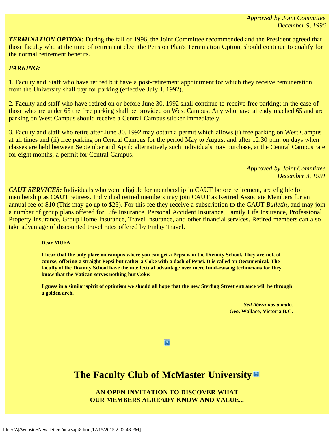**TERMINATION OPTION:** During the fall of 1996, the Joint Committee recommended and the President agreed that those faculty who at the time of retirement elect the Pension Plan's Termination Option, should continue to qualify for the normal retirement benefits.

### *PARKING:*

1. Faculty and Staff who have retired but have a post-retirement appointment for which they receive remuneration from the University shall pay for parking (effective July 1, 1992).

2. Faculty and staff who have retired on or before June 30, 1992 shall continue to receive free parking; in the case of those who are under 65 the free parking shall be provided on West Campus. Any who have already reached 65 and are parking on West Campus should receive a Central Campus sticker immediately.

3. Faculty and staff who retire after June 30, 1992 may obtain a permit which allows (i) free parking on West Campus at all times and (ii) free parking on Central Campus for the period May to August and after 12:30 p.m. on days when classes are held between September and April; alternatively such individuals may purchase, at the Central Campus rate for eight months, a permit for Central Campus.

> *Approved by Joint Committee December 3, 1991*

*CAUT SERVICES:* Individuals who were eligible for membership in CAUT before retirement, are eligible for membership as CAUT retirees. Individual retired members may join CAUT as Retired Associate Members for an annual fee of \$10 (This may go up to \$25). For this fee they receive a subscription to the CAUT *Bulletin*, and may join a number of group plans offered for Life Insurance, Personal Accident Insurance, Family Life Insurance, Professional Property Insurance, Group Home Insurance, Travel Insurance, and other financial services. Retired members can also take advantage of discounted travel rates offered by Finlay Travel.

#### **Dear MUFA,**

**I hear that the only place on campus where you can get a Pepsi is in the Divinity School. They are not, of course, offering a straight Pepsi but rather a Coke with a dash of Pepsi. It is called an Oecumenical. The faculty of the Divinity School have the intellectual advantage over mere fund-raising technicians for they know that the Vatican serves nothing but Coke!**

**I guess in a similar spirit of optimism we should all hope that the new Sterling Street entrance will be through a golden arch.**

> *Sed libera nos a malo.* **Geo. Wallace, Victoria B.C.**

 $|2|$ 

# **The Faculty Club of McMaster University**

**AN OPEN INVITATION TO DISCOVER WHAT OUR MEMBERS ALREADY KNOW AND VALUE...**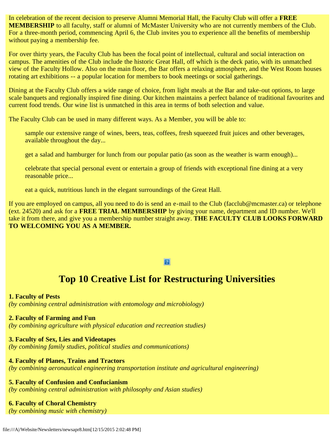In celebration of the recent decision to preserve Alumni Memorial Hall, the Faculty Club will offer a **FREE MEMBERSHIP** to all faculty, staff or alumni of McMaster University who are not currently members of the Club. For a three-month period, commencing April 6, the Club invites you to experience all the benefits of membership without paying a membership fee.

For over thirty years, the Faculty Club has been the focal point of intellectual, cultural and social interaction on campus. The amenities of the Club include the historic Great Hall, off which is the deck patio, with its unmatched view of the Faculty Hollow. Also on the main floor, the Bar offers a relaxing atmosphere, and the West Room houses rotating art exhibitions -- a popular location for members to book meetings or social gatherings.

Dining at the Faculty Club offers a wide range of choice, from light meals at the Bar and take-out options, to large scale banquets and regionally inspired fine dining. Our kitchen maintains a perfect balance of traditional favourites and current food trends. Our wine list is unmatched in this area in terms of both selection and value.

The Faculty Club can be used in many different ways. As a Member, you will be able to:

sample our extensive range of wines, beers, teas, coffees, fresh squeezed fruit juices and other beverages, available throughout the day...

get a salad and hamburger for lunch from our popular patio (as soon as the weather is warm enough)...

celebrate that special personal event or entertain a group of friends with exceptional fine dining at a very reasonable price...

eat a quick, nutritious lunch in the elegant surroundings of the Great Hall.

If you are employed on campus, all you need to do is send an e-mail to the Club (facclub@mcmaster.ca) or telephone (ext. 24520) and ask for a **FREE TRIAL MEMBERSHIP** by giving your name, department and ID number. We'll take it from there, and give you a membership number straight away. **THE FACULTY CLUB LOOKS FORWARD TO WELCOMING YOU AS A MEMBER.**

### $|2|$

### **Top 10 Creative List for Restructuring Universities**

**1. Faculty of Pests** *(by combining central administration with entomology and microbiology)*

#### **2. Faculty of Farming and Fun**

*(by combining agriculture with physical education and recreation studies)*

### **3. Faculty of Sex, Lies and Videotapes**

*(by combining family studies, political studies and communications)*

### **4. Faculty of Planes, Trains and Tractors**

*(by combining aeronautical engineering transportation institute and agricultural engineering)*

**5. Faculty of Confusion and Confucianism**

*(by combining central administration with philosophy and Asian studies)*

### **6. Faculty of Choral Chemistry**

*(by combining music with chemistry)*